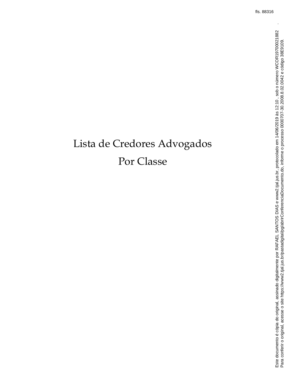# Lista de Credores Advogados Por Classe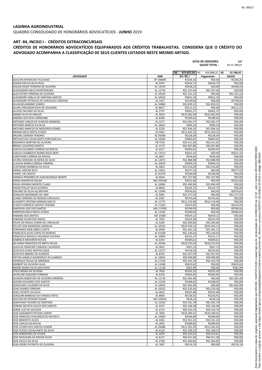## **LAGINHA AGROINDUSTRIAL**

QUADRO CONSOLIDADO DE HONORÁRIOS ADVOCATÍCIOS - **JUNHO** 2019

## **ART. 84, INCISO I - CRÉDITOS EXTRACONCURSAIS**

|                                                                     |                       | <b>QTDE DE CREDORES:</b><br><b>SALDO TOTAL:</b> |                            |                        |
|---------------------------------------------------------------------|-----------------------|-------------------------------------------------|----------------------------|------------------------|
|                                                                     |                       | R\$<br>477.657,29                               | R\$<br>424.868,32 R\$      | 52.788,97              |
| <b>ADVOGADO</b>                                                     | <b>OAB</b>            | Art. 84, I                                      | Pagamento                  | <b>SALDO</b>           |
| ADILSON APARECIDO FELICIANO<br><b>AGENILTON DA SILVA FELIX</b>      | SP 148809<br>AL 9470  | R\$206,26<br>R\$454,72                          | R\$0,00<br>R\$454,72       | R\$206,26<br>R\$0,00   |
| AISLAN DIEGO FERREIRA DE OLIVEIRA                                   | AL 12919              | R\$448,23                                       | R\$0,00                    | R\$448,23              |
| ALESSANDRO MELO MONTENEGRO                                          | AL 11759              | R\$2.337,44                                     | R\$2.337,44                | R\$0,00                |
| ALEX DEYWY FERREIRA DE OLIVEIRA                                     | AL 10520              | R\$2.101,22                                     | R\$0,00                    | R\$2.101,22            |
| ALEXANDRE PABLLO DE SANTANA SANTOS                                  | AL 10629              | R\$812,19                                       | R\$812,19                  | R\$0,00                |
| ALEXANDRE PETRUCIO DE CARVALHO CARDOSO                              | AL 5427               | R\$749,03                                       | R\$0,00                    | R\$749,03              |
| ALLAN BELARMINO SOARES                                              | AL 10869              | R\$2.859,31                                     | R\$2.859,31                | R\$0,00                |
| ALLAN CARLISSON SILVA DE HOLANDA                                    | AL 8627               | R\$111,21                                       | R\$0,00                    | R\$111,21              |
| ALUIZIO SALVINO DA SILVA<br>ANDRE SILVA DE ARAUJO                   | AL 2797<br>AL 9016    | R\$401,57<br>R\$22.062,36                       | R\$401,57<br>R\$22.062,36  | R\$0,00<br>R\$0,00     |
| ANDREA GOUVEIA CARNAUBA                                             | AL 8396               | R\$189,62                                       | R\$189,62                  | R\$0,00                |
| ANTONIO CARLOS DE ALMEIDA BARBOSA                                   | AL 3277               | R\$3.091,27                                     | R\$3.091,27                | R\$0,00                |
| ANTONIO MARCIO DA SILVA                                             | AL 10631              | R\$83,33                                        | R\$83,33                   | R\$0,00                |
| ANTONIO MARCOS DE MEDEIROS GOMES                                    | AL 5250               | R\$7.836,35                                     | R\$7.836,35                | R\$0,00                |
| ARIANA MELO MOTA ATAIDE                                             | AL 9461               | R\$12.650,22                                    | R\$12.650,22               | R\$0,00                |
| <b>ARLENE CIDREIRA TENORIO</b>                                      | AL 9356B              | R\$128,39                                       | R\$128,39                  | R\$0,00                |
| ARTHUR ELIO CAVALCANTE PORCIUNCULA                                  | AL 10585              | R\$893,05                                       | R\$893,05                  | R\$0,00                |
| <b>BISMARCK MARTINS DE OLIVEIRA</b><br><b>BRENO CALHEIROS MURTA</b> | PB 7529<br>AL 1570    | R\$3.411,92<br>R\$4.907,88                      | R\$3.411.92<br>R\$4.907,88 | R\$0,00                |
| CARLOS EDUARDO CORREIA DA ROCHA                                     | AL 6517               | R\$393,91                                       | R\$393,91                  | R\$0,00<br>R\$0,00     |
| <b>CARLOS HUMBERTO NOBRE RISCO BERT</b>                             | AL 13413              | R\$615,32                                       | R\$0,00                    | R\$615,32              |
| CHRISTIANE CORREIA DA ROCHA                                         | AL 4827               | R\$44,64                                        | R\$44,64                   | R\$0,00                |
| CICERO ADRIANO OLIVEIRA DA SILVA                                    | AL 12075              | R\$2.888,98                                     | R\$2.888,98                | R\$0,00                |
| CLAUDIA MARIA CORREIA FIRMINO                                       | AL 10876              | R\$940,55                                       | R\$940,55                  | R\$0,00                |
| <b>CLISTHENES BARBOSA DA SILVA</b>                                  | AL 4820               | R\$3.914,69                                     | R\$3.914,69                | R\$0,00                |
| DANIEL MOURA REYS                                                   | AL 13921              | R\$377,53                                       | R\$0,00                    | R\$377,53              |
| DANIEL VIEL BENTO                                                   | AL 9147B              | R\$180,08                                       | R\$180,08                  | R\$0,00                |
| DANIELA PRADINES DE ALBUQUERQUE MONTE<br>DENIS GASPAR DE SOUZA      | AL 8626<br>MG 109108  | R\$1.227,90<br>R\$322,66                        | R\$1.227,90<br>R\$0,00     | R\$0,00                |
| DIEGO ADORNO MONTES CLARO                                           | AL 10483              | R\$3.490,99                                     | R\$3.490,99                | R\$322,66<br>R\$0,00   |
| <b>DIOGO PHILLIP SILVA GUEIROS</b>                                  | AL 8826               | R\$163,72                                       | R\$163,72                  | R\$0,00                |
| EDILANE DA SILVA ALCANTARA                                          | AL 12499              | R\$976,81                                       | R\$0,00                    | R\$976,81              |
| EDNALDO MAIORANO DE LIMA                                            | AL 5081               | R\$2.277,54                                     | R\$0,00                    | R\$2.277,54            |
| ELIANE FERREIRA DE MORAIS CARVALHO                                  | AL 2587               | R\$745,65                                       | R\$745,65                  | R\$0,00                |
| ELIZABETE CRISTINA MORAES MALTA                                     | AL 11775              | R\$12.219,69                                    | R\$12.219,69               | R\$0,00                |
| ELSON FLORENCIO SANTOS TEIXEIRA                                     | AL 11282              | R\$545,05                                       | R\$0,00                    | R\$545,05              |
| <b>EMERSON JOSE DOS SANTOS</b><br><b>EMERSON MELO MOTA ATAIDE</b>   | MG 117603<br>AL 11034 | R\$789,93<br>R\$580,63                          | R\$0,00<br>R\$0,00         | R\$789,93<br>R\$580,63 |
| <b>FABIANA DOS SANTOS</b>                                           | MS 15685              | R\$919,12                                       | R\$919,12                  | R\$0,00                |
| FABIANO ALVIM DOS ANJOS                                             | AL 7935               | R\$163,39                                       | R\$163,39                  | R\$0,00                |
| FELIPE DE PADUA CUNHA DE CARVALHO                                   | AL 5206               | R\$2.005,83                                     | R\$2.005,83                | R\$0,00                |
| FELLIPE JOSE BANDEIRA CARRILHO                                      | AL 10332              | R\$29.493,12                                    | R\$29.493,12               | R\$0,00                |
| FERNANDO IGOR ABREU COSTA                                           | AL 9958               | R\$1.441,13                                     | R\$1.441,13                | R\$0,00                |
| FRANCISCA ALVES LOPES DE MORAES                                     | AL 4156B              | R\$2.236,63                                     | R\$2.236,63                | R\$0,00                |
| FRANCISCA RAFAELA HOLANDA OLIVEIRA                                  | AL 10965              | R\$315,17                                       | R\$315,17                  | R\$0,00                |
| <b>GABRIELA MEDEIROS ROCHA</b><br>GILVANIA FRANCISCO DE BRITO SOUZA | AL 6345<br>AL 10336   | R\$690,61<br>R\$18.255,03                       | R\$690,61<br>R\$18.255,03  | R\$0,00<br>R\$0,00     |
| <b>GLAUCIA FRANCINE CANDIDA CALHEIROS</b>                           | AL 9822               | R\$67,13                                        | R\$67,13                   | R\$0,00                |
| <b>GUSTAVO HUGO SANTOS LESSA</b>                                    | AL 11577              | R\$156,56                                       | R\$156,56                  | R\$0,00                |
| <b>GUSTAVO RIBEIRO DE ALMEIDA</b>                                   | AL 8783               | R\$1.027,93                                     | R\$1.027,93                | R\$0,00                |
| HEITOR ANGELO WANDERLEY DE ALMEIDA                                  | AL 10601              | R\$9.009,89                                     | R\$9.009,89                | R\$0,00                |
| HENRIQUE PAULO DE MIRANDA                                           | AL 11544              | R\$5.503,78                                     | R\$5.503,78                | R\$0,00                |
| HERBERT DE OLIVEIRA SILVA                                           | AL 11008              | R\$632,62                                       | R\$0,00                    | R\$632,62              |
| INGRID MAIRA SILVA MACHADO                                          | AL 11148              | R\$81,99                                        | R\$0,00                    | R\$81,99               |
| ITALO MEIRA DA SILVEIRA<br>JACKELINE SIQUEIRA FORMIGA               | AL 7616<br>AL 6378    | R\$255,25<br>R\$583,95                          | R\$255,25<br>R\$583,95     | R\$0,00<br>R\$0,00     |
| JACKSON SEBASTIAO DE OLIVEIRA FERREIRA                              | AL 11176              | R\$1.081,40                                     | R\$0,00                    | R\$1.081,40            |
| JADSON EDUARDO DOS SANTOS                                           | AL 12228              | R\$188,02                                       | R\$188,02                  | R\$0,00                |
| JAQUELINE CLAUDINO DA SILVA                                         | AL 10042              | R\$1.665,99                                     | R\$0,00                    | R\$1.665,99            |
| <b>JOAO SOARES FERREIRA</b>                                         | AL 10531              | R\$3.520,26                                     | R\$3.520,26                | R\$0,00                |
| JOAO VICENTE DA SILVA                                               | AL 4635               | R\$525,48                                       | R\$525,48                  | R\$0,00                |
| JOAQUIM BARBOSA DA FONSECA NETO                                     | AL 8064               | R\$156,91                                       | R\$156,91                  | R\$0,00                |
| JOELSON DE RESENDE NUNES                                            | MG 109452             | R\$28,14                                        | R\$28,14                   | R\$0,00                |
| JONATHAN TAVARES DE SANTANA<br>JONHNY BATISTA SOUZA DOS SANTOS      | AL 12234<br>AL 9237   | R\$3.341,79<br>R\$5.166,38                      | R\$3.341,79<br>R\$5.166,38 | R\$0,00<br>R\$0,00     |
| JORGE LUIZ DE GOUVEIA                                               | AL 4174               | R\$4.535,76                                     | R\$4.535,76                | R\$0,00                |
| JOSE ADALBERTO PETEAN JUNIOR                                        | AL 7830               | R\$34.269,41                                    | R\$34.269,41               | R\$0,00                |
| JOSE ARNALDO VASCONCELOS PACHECO                                    | AL 10063              | R\$346,00                                       | R\$346,00                  | R\$0,00                |
| <b>JOSE BENEDITO ALVES</b>                                          | AL 4452               | R\$2.921,32                                     | R\$2.921,32                | R\$0,00                |
| JOSE CARLOS DA ROCHA                                                | AL 2855               | R\$389,83                                       | R\$389,83                  | R\$0,00                |
| JOSE CICERO DOS SANTOS JUNIOR                                       | AL 5648B              | R\$13.301,93                                    | R\$13.301,93               | R\$0,00                |
| JOSE FLAVIO CAVALCANTE DA SILVA                                     | AL 6124               | R\$1.269,23                                     | R\$1.269,23                | R\$0,00                |
| JOSE MINERVINO DE ATAIDE<br>JOSE NOGUEIRA DA ROCHA FILHO            | AL 4070<br>AL 8127    | R\$3.424,61<br>R\$6.911,58                      | R\$3.424,61<br>R\$6.911,58 | R\$0,00<br>R\$0,00     |
| JOSE PAULO DA SILVA                                                 | AL 2708               | R\$1.664,85                                     | R\$1.664,85                | R\$0,00                |
| JOSE PEDRO PATRIOTA DE OLIVEIRA                                     | AL 7607               | R\$576,74                                       | R\$0,00                    | R\$576,74              |

## **CRÉDITOS DE HONORÁRIOS ADVOCATÍCIOS EQUIPARADOS AOS CRÉDITOS TRABALHISTAS. CONSIDERA QUE O CRÉDITO DO ADVOGADO ACOMPANHA A CLASSIFICAÇÃO DE SEUS CLIENTES LISTADOS NESTE MESMO ARTIGO.**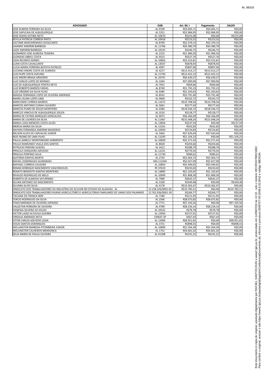| <b>ADVOGADO</b>                                                                                 | <b>OAB</b>         | Art. 84, I   | Pagamento    | <b>SALDO</b> |
|-------------------------------------------------------------------------------------------------|--------------------|--------------|--------------|--------------|
| JOSE RUBENS FERREIRA DA SILVA                                                                   | AL 9199            | R\$4.605,71  | R\$4.605,71  | R\$0,00      |
| JOSE SAPUCAIA DE ALBUQUERQUE                                                                    | AL 5251            | R\$2.984,95  | R\$2.984,95  | R\$0,00      |
| JOSE SEIXAS JATOBA NETO                                                                         | AL 10670           | R\$225,08    | R\$0,00      | R\$225,08    |
| KEYLLA PATRICIA CORREIA PINTO                                                                   | AL 10418           | R\$153,52    | R\$153,52    | R\$0,00      |
| LACYANE MASCARENHAS CAVALCANTE                                                                  | AL 8709            | R\$2.379,15  | R\$2.379,15  | R\$0,00      |
| LAIANNY AMORIM BARBOZA                                                                          | AL 11766           | R\$4.380,70  | R\$4.380,70  | R\$0,00      |
| LAISY AMORIM BARBOZA                                                                            | AL 10535           | R\$246,75    | R\$246,75    | R\$0,00      |
| LEONARDO JOSE ALMEIDA TEIXEIRA                                                                  | AL 2525            | R\$1.984,50  | R\$1.984,50  | R\$0,00      |
| <b>LEONIDAS ABREU COSTA</b>                                                                     | AL 9523            | R\$527,76    | R\$527,76    | R\$0,00      |
| <b>LIGIA RICARDO GOMES</b>                                                                      | AL 10803           | R\$3.532,81  | R\$3.532,81  | R\$0,00      |
| LUAN COSTA CAVALCANTE                                                                           | AL 13037           | R\$878,93    | R\$878,93    | R\$0,00      |
| LUCIA MARIA FERREIRA BATISTA PATRICIO                                                           | AL 4997            | R\$897,06    | R\$897,06    | R\$0,00      |
| LUCIANO ANDRE COSTA DE ALMEIDA                                                                  | AL 4217            | R\$13.413,17 | R\$13.413,17 | R\$0,00      |
| LUIS FILIPE COSTA AVELINO                                                                       | AL 11750           | R\$12.422,12 | R\$12.422,12 | R\$0,00      |
| LUIZ ANDRE BRAGA GRIGORIO                                                                       | AL 10741           | R\$6.630,37  | R\$6.630,37  | R\$0,00      |
| LUIZ CARLOS LOPES DE MORAES                                                                     | AL 3264            | R\$7.000,00  | R\$7.000,00  | R\$0,00      |
| LUIZ DE ALBUQUERQUE PONTES NETO                                                                 | AL 7031            | R\$69,66     | R\$69,66     | R\$0,00      |
| LUIZ ROBERTO BARROS FARIAS                                                                      | AL 8740            | R\$1.792,23  | R\$1.792,23  | R\$0,00      |
| LUIZ VIRGINIO DA SILVA FILHO                                                                    | AL 9385            | R\$1.343,63  | R\$1.343,63  | R\$0,00      |
| MAGDA FERNANDA LOPES DE OLIVEIRA ANDRADE                                                        | AL 8541            | R\$3.791,40  | R\$3.791,40  | R\$0,00      |
| MAIRA CELINA LOPES LIMA                                                                         | AL 9690            | R\$102,72    | R\$102,72    | R\$0,00      |
| <b>MARCONDE CORREIA BARROS</b>                                                                  | AL 11672           | R\$10.708,56 | R\$10.708,56 | R\$0,00      |
|                                                                                                 |                    | R\$177.43    |              |              |
| <b>MARCOS ANTONIO CUNHA CAJUEIRO</b>                                                            | AL 5661            |              | R\$177,43    | R\$0,00      |
| MARCOS PLINIO DE SOUZA MONTEIRO                                                                 | AL 4383            | R\$18.546,72 | R\$18.546,72 | R\$0,00      |
| <b>MARCUS VINICIUS DE ALBUQUERQUE SOUZA</b>                                                     | AL 3510            | R\$128,77    | R\$128,77    | R\$0,00      |
| MARIA DE FATIMA MARQUES GONCALVES                                                               | AL 9072            | R\$6.266,09  | R\$6.266,09  | R\$0,00      |
| <b>MARIA DE LOURDES DA SILVA</b>                                                                | AL 11467           | R\$15.048,24 | R\$15.048,24 | R\$0,00      |
| MARIA LUISA MENEZES COSTA ALVES                                                                 | AL 13856           | R\$237,59    | R\$0,00      | R\$237,59    |
| MERCIA MARIA DA SILVA                                                                           | AL 11561           | R\$42,83     | R\$42,83     | R\$0,00      |
| NAYARA FERNANDA AMORIM MADEIROS                                                                 | AL 10950           | R\$724,83    | R\$724,83    | R\$0,00      |
| NELSON ALVES DE CARVALHO JUNIOR                                                                 | AL 3464            | R\$7.620,44  | R\$7.620,44  | R\$0,00      |
| NOE HIGINO DE LIMA FILHO                                                                        | AL 11030           | R\$1.104,23  | R\$0,00      | R\$1.104,23  |
| PAULA JANIELLY MONTENEGRO SARMENTO                                                              | AL 10839           | R\$2.571,43  | R\$2.571,43  | R\$0,00      |
| PAULO RAIMUNDO VILELA DOS SANTOS                                                                | AL 8028            | R\$203,66    | R\$203,66    | R\$0,00      |
| PETRUCIO PEREIRA GUEDES                                                                         | AL 3412            | R\$288,79    | R\$288,79    | R\$0,00      |
| PRISCILA CERQUEIRA AZEVEDO                                                                      | AL 12221           | R\$770,35    | R\$770,35    | R\$0,00      |
| PRISCILA PORFIRIO SILVA                                                                         | AL 11730           | R\$89,61     | R\$89,61     | R\$0,00      |
| <b>QUITERIA DANTAS MURTA</b>                                                                    | AL 2743            | R\$3.364,72  | R\$3.364.72  | R\$0,00      |
| RAFAEL DOMINGUES GUIMARAES                                                                      | MG 113204          | R\$2.027,09  | R\$2.027,09  | R\$0,00      |
| RAPHAEL CORREIA CAJUEIRO                                                                        | AL 10850           | R\$5.949,65  | R\$5.949.65  | R\$0,00      |
| RENAN HENRIQUE NASCIMENTO VASCONCELOS                                                           | PE 37619           | R\$233,02    | R\$233,02    | R\$0,00      |
| RENATO BENEDITO DANTAS MONTEIRO                                                                 | AL 14883           | R\$1.103,65  | R\$1.103,65  | R\$0,00      |
| <b>RIVALDO RODRIGUES DE MELO</b>                                                                | AL 10949           | R\$1.808,30  | R\$1.808,30  | R\$0,00      |
| ROBERTA DE ALMEIDA SATURNINO                                                                    | AL 7989            | R\$642,27    | R\$642,27    | R\$0,00      |
| SILVAN ANTONIO DO NASCIMENTO                                                                    | AL 5328            | R\$340,48    | R\$0,00      | R\$340,48    |
| SILVANA ALVES SILVA                                                                             | AL 4178            | R\$10.365,47 | R\$10.365,47 | R\$0,00      |
| SINDICATO DOS TRABALHADORES DA INDUSTRIA DO ACUCAR NO ESTADO DE ALAGOAS AL                      | 12.158.226/0001-02 | R\$19.785,51 | R\$0,00      | R\$19.785,51 |
| SINDICATO DOS TRABALHADORES RURAIS AGRICULTORES E AGRICULTORAS FAMILIARES DE UNIAO DOS PALMARES | 12.762.936/0001-39 | R\$269,77    | R\$269,77    | R\$0,00      |
| TACIANA DA FRANCA NERI                                                                          | AL 7180            | R\$121,95    | R\$121,95    | R\$0,00      |
| TERCIO RODRIGUES DA SILVA                                                                       | AL 2566            | R\$8.075,82  | R\$8.075,82  | R\$0,00      |
| THAIS MIRANDA DE OLIVEIRA JAPIASSO                                                              | AL 7771            | R\$7.105,56  | R\$0,00      | R\$7.105,56  |
| VALGETAN FERREIRA DE OLIVEIRA                                                                   | AL 4789            | R\$8.234,14  | R\$8.234,14  | R\$0,00      |
| VANESSA SILVEIRA DE SOUZA                                                                       | AL 10532           | R\$78,78     | R\$78,78     | R\$0,00      |
| VICTOR LAGES ALTAVILA GUERRA                                                                    | AL 12956           | R\$727,91    | R\$727,91    | R\$0,00      |
| <b>VIRGILIO ANDRADE NETO</b>                                                                    | 239647 SP          | R\$67,43     | R\$67,43     | R\$0,00      |
| VITOR CARLOS AZEVEDO LESSA                                                                      | AL 12006           | R\$8.951,81  | R\$0,00      | R\$8.951,81  |
| <b>VOLIO SANTOS DOMINGUES</b>                                                                   | AL 3731            | R\$898,55    | R\$0,00      | R\$898,55    |
| <b>WELLINGTON BARBOSA PITOMBEIRA JUNIOR</b>                                                     | AL 10899           | R\$2.264,39  | R\$2.264,39  | R\$0,00      |
| <b>WELLINGTON CALHEIROS MENDONCA</b>                                                            | AL 1752            | R\$4.601,42  | R\$4.601,42  | R\$0,00      |
| ZELIA MARIA DE PAULA OLIVEIRA                                                                   | AL 4120B           | R\$191,21    | R\$191,21    | R\$0,00      |

 $\ddot{\phantom{a}}$ 

is.<br>88 aboumento é cópia do original, assinado digitalmente por RAFAEL SANTOS DIAS e www2.tjal.jus.br, protocolado em 14/06/2019 às 12:10 , sob o número WCOR19700021882<br>Para corierir o original, acesse o site https://www2 Este documento é cópia do original, assinado digitalmente por RAFAEL SANTOS DIAS e www2.tjal.jus.br, protocolado em 14/06/2019 às 12:10 , sob o número WCOR19700021882<br>Para conferir o original, acesse o site https://www2.tj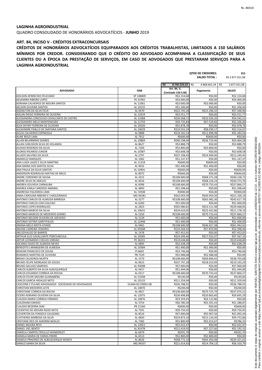QUADRO CONSOLIDADO DE HONORÁRIOS ADVOCATÍCIOS - **JUNHO** 2019

## **ART. 84, INCISO V - CRÉDITOS EXTRACONCURSAIS**

**QTDE DE CREDORES: 353**

|                                                                                       |                                |                                | <b>SALDO TOTAL:</b>          | R\$ 3.877.921,98             |
|---------------------------------------------------------------------------------------|--------------------------------|--------------------------------|------------------------------|------------------------------|
|                                                                                       |                                | $R\frac{2}{3}$<br>8.746.523,32 | 4.868.601,34 R\$<br>R\$      | 3.877.921,98                 |
| <b>ADVOGADO</b>                                                                       | OAB                            | Art. 84, V,                    | Pagamento                    | <b>SALDO</b>                 |
|                                                                                       |                                | (Limitado 150 S.M)             |                              |                              |
| ADILSON APARECIDO FELICIANO<br><b>ADJAMIRO RIBEIRO LOPES</b>                          | SP 148809<br>PE 31992          | R\$2.154,68<br>R\$4.000,00     | R\$0,00<br>R\$0,00           | R\$2.154,68<br>R\$4.000,00   |
| ADRIANA CALHEIROS DE MOURA SANTOS                                                     | AL 11061                       | R\$3.000,00                    | R\$3.000,00                  | R\$0,00                      |
| <b>AELSON OLIVEIRA SANTOS</b>                                                         | AL 10155                       | R\$1.206,00                    | R\$0,00                      | R\$1.206,00                  |
| <b>AGENILTON DA SILVA FELIX</b>                                                       | AL 9470                        | R\$22.745,28                   | R\$15.296,32                 | R\$7.448,96                  |
| AISLAN DIEGO FERREIRA DE OLIVEIRA                                                     | AL 12919                       | R\$3.551,77                    | R\$0,00                      | R\$3.551,77                  |
| ALESSANDRA CONCEICAO CAVALCANTE DE CASTRO<br>ALESSANDRO MELO MONTENEGRO               | AL 11068                       | R\$36.568,71                   | R\$32.026,20                 | R\$4.542,51                  |
| ALEX DEYWY FERREIRA DE OLIVEIRA                                                       | AL 11759<br>AL 10520           | R\$9.735,84<br>R\$5.878,78     | R\$7.529,84<br>R\$0,00       | R\$2.206,00<br>R\$5.878,78   |
| ALEXANDRE PABLLO DE SANTANA SANTOS                                                    | AL 10629                       | R\$10.555,24                   | R\$8.039,17                  | R\$2.516,07                  |
| ALICIA CALHEIROS ESPINDOLA                                                            | AL 9888                        | R\$18.182,54                   | R\$12.898,98                 | R\$5.283,56                  |
| <b>ALINE REGO LIMA</b>                                                                | AL 7912                        | R\$600,00                      | R\$600,00                    | R\$0,00                      |
| <b>ALLAN BELARMINO SOARES</b>                                                         | AL 10869                       | R\$40.198,04                   | R\$36.733,46                 | R\$3.464,58                  |
| ALLAN CARLISSON SILVA DE HOLANDA<br>ALOISIO ROSENDO DA SILVA                          | AL 8627                        | R\$3.888,79                    | R\$0,00                      | R\$3.888,79                  |
| <b>ALONSO RICARDO JUNIOR</b>                                                          | AL 7269<br>AL 10387            | R\$3.800,00<br>R\$3.608,58     | R\$3.800,00<br>R\$0,00       | R\$0,00<br>R\$3.608,58       |
| ALUIZIO SALVINO DA SILVA                                                              | AL 2797                        | R\$37.198,43                   | R\$24.949,00                 | R\$12.249,43                 |
| <b>AMARILIO MARQUES</b>                                                               | AL 1962                        | R\$1.147,47                    | R\$0,00                      | R\$1.147,47                  |
| ANA LUIZA LAGES E SILVA MARTINS                                                       | AL 11318                       | R\$600,00                      | R\$600,00                    | R\$0,00                      |
| ANA MARIA DOS SANTOS SILVA                                                            | AL 9932                        | R\$1.400,00                    | R\$1.400,00                  | R\$0,00                      |
| ANA PAULA DA SILVA SANTOS                                                             | AL 10901                       | R\$600,00                      | R\$0,00                      | R\$600,00                    |
| ANDERSON RODRIGUES MATIAS DE MELO<br>ANDRE CORDEIRO DE SOUSA                          | AL 8072<br>AL 4315             | R\$666,66<br>R\$108.600,00     | R\$0,00<br>R\$68.371,28      | R\$666,66<br>R\$40.228,72    |
| ANDRE SILVA DE ARAUJO                                                                 | AL 9016                        | R\$108.600,00                  | R\$68.226,24                 | R\$40.373,76                 |
| ANDREA GOUVEIA CARNAUBA                                                               | AL 8396                        | R\$108.600,00                  | R\$70.733,43                 | R\$37.866,57                 |
| ANDREA KARLA CARDOSO AMARAL                                                           | AL 4893                        | R\$1.598,64                    | R\$0,00                      | R\$1.598,64                  |
| ANDRESSA FIGUEIROA LIMA                                                               | AL 7293B                       | R\$900,00                      | R\$0,00                      | R\$900,00                    |
| ANNA CAROLINA RIBEIRO E S MOLEIRINHO                                                  | MG 94281                       | R\$62.059,39                   | R\$40.959,20                 | R\$21.100,19                 |
| ANTONIO CARLOS DE ALMEIDA BARBOSA                                                     | AL 3277                        | R\$108.600,00                  | R\$65.982,30                 | R\$42.617,70                 |
| ANTONIO CARLOS LEAO GALVAO<br><b>ANTONIO LOPES RODRIGUES</b>                          | AL 6260<br>AL 2823             | R\$1.000,00<br>R\$92.980,81    | R\$0,00<br>R\$53.511,98      | R\$1.000,00<br>R\$39.468,83  |
| ANTONIO MARCIO DA SILVA                                                               | AL 10631                       | R\$34.610,05                   | R\$23.431,86                 | R\$11.178,19                 |
| ANTONIO MARCOS DE MEDEIROS GOMES                                                      | AL 5250                        | R\$108.600,00                  | R\$70.733,43                 | R\$37.866,57                 |
| ANTONIO NELSON OLIVEIRA DE AZEVEDO                                                    | AL 2129                        | R\$1.600,00                    | R\$0,00                      | R\$1.600,00                  |
| <b>ANTONIO SOTIRIS GARYYFALOS</b>                                                     | AL 12448                       | R\$1.400,00                    | R\$0,00                      | R\$1.400,00                  |
| ARIANA MELO MOTA ATAIDE                                                               | AL 9461                        | R\$108.600,00                  | R\$46.657,38                 | R\$61.942,62                 |
| <b>ARLENE CIDREIRA TENORIO</b><br>ARLUZIVALDO DE BARROS                               | AL 9356B<br>AL 1478            | R\$10.269,42<br>R\$7.452,65    | R\$7.870,96<br>R\$0,00       | R\$2.398,46                  |
| ARTHUR ELIO CAVALCANTE PORCIUNCULA                                                    | AL 10585                       | R\$24.599,40                   | R\$17.032,07                 | R\$7.452,65<br>R\$7.567,33   |
| ARTUR LEONARDO COELHO JORDAO                                                          | PE 30231                       | R\$19.638,80                   | R\$0,00                      | R\$19.638,80                 |
| ASCANIO SAVIO DE ALMEIDA NEVES                                                        | AL 4895                        | R\$2.638,29                    | R\$0,00                      | R\$2.638,29                  |
| BENEDITO LARANGEIRA DE ALMEIDA                                                        | AL 10384                       | R\$1.400,00                    | R\$1.400,00                  | R\$0,00                      |
| <b>BENOAR FRANCISCO DE SOUSA</b>                                                      | PI 6602                        | R\$3.746,66                    | R\$0,00                      | R\$3.746,66                  |
| <b>BISMARCK MARTINS DE OLIVEIRA</b>                                                   | PB 7529                        | R\$2.988,08                    | R\$2.988,08                  | R\$0,00                      |
| <b>BRENO CALHEIROS MURTA</b><br>BRUNO FELIPE MORGADO DE SOUZA                         | AL 1570<br>AL 9615             | R\$108.600,00<br>R\$37.747,28  | R\$69.896,92<br>R\$18.553,99 | R\$38.703,08<br>R\$19.193,29 |
| <b>BRUNO GALVAO SAMPAIO</b>                                                           | AL 9309B                       | R\$7.000,00                    | R\$0,00                      | R\$7.000,00                  |
| CARLOS ALBERTO DA SILVA ALBUQUERQUE                                                   | AL 4417                        | R\$1.444,06                    | R\$0,00                      | R\$1.444,06                  |
| CARLOS EDUARDO CORREIA DA ROCHA                                                       | AL 6517                        | R\$108.600,00                  | R\$70.733,43                 | R\$37.866,57                 |
| <b>CARLOS FELIPE MOURA GUANABENS</b>                                                  | AL 5193B                       | R\$140,00                      | R\$0,00                      | R\$140,00                    |
| <b>CARLOS GARCIA HIDALGO NETO</b>                                                     | AL 10133                       | R\$11.359,04                   | R\$0,00                      | R\$11.359,04                 |
| CASCIONE E PULINO ADVOGADOS SOCIEDADE DE ADVOGADOS<br><b>CHRISTIAN MEDEIROS LEITE</b> | 10.844.817/0001-08<br>AL 10870 | R\$36.788,91<br>R\$200,00      | R\$0,00<br>R\$0,00           | R\$36.788,91                 |
| CHRISTIANE CORREIA DA ROCHA                                                           | AL 4827                        | R\$108.600,00                  | R\$70.725,79                 | R\$200,00<br>R\$37.874,21    |
| CICERO ADRIANO OLIVEIRA DA SILVA                                                      | AL 12075                       | R\$30.498,89                   | R\$20.803,60                 | R\$9.695,29                  |
| CLAUDIA MARIA CORREIA FIRMINO                                                         | AL 10876                       | R\$3.359,45                    | R\$4.122,86                  | R\$0,00                      |
| <b>CLAUDIANO EMIDIO</b>                                                               | AL 3754                        | R\$6.780,30                    | R\$5.391,43                  | R\$1.388,87                  |
| CLAUDIO BEZERRA DIAS                                                                  | PB 11560                       | R\$600,00                      | R\$0,00                      | R\$600,00                    |
| CLEANTHO DE MOURA RIZZO NETO                                                          | AL 7591                        | R\$9.750,45                    | R\$0,00                      | R\$9.750,45                  |
| CLEVERTON DA FONSECA CALAZANS<br><b>CLISTHENES BARBOSA DA SILVA</b>                   | AL 8524<br>AL 4820             | R\$7.000,00<br>R\$24.873,16    | R\$5.907,56<br>R\$15.120,30  | R\$1.092,44<br>R\$9.752,86   |
| CRISTIANE REIS DE AMORIM BASILIO                                                      | AL 7382                        | R\$5.800,00                    | R\$5.013,67                  | R\$786,33                    |
| DANIEL MOURA REYS                                                                     | AL 13921                       | R\$2.022,47                    | R\$0,00                      | R\$2.022,47                  |
| DANIEL VIEL BENTO                                                                     | AL 9147B                       | R\$12.419,92                   | R\$7.227,60                  | R\$5.192,32                  |
| DANIELA CAMPOS CERULLO WANDERLEY                                                      | AL 6679                        | R\$591,70                      | R\$0,00                      | R\$591,70                    |
| DANIELA MARIA DE FARIAS FREIRE                                                        | AL 6513                        | R\$2.800,00                    | R\$2.800,00                  | R\$0,00                      |
| DANIELA PRADINES DE ALBUQUERQUE MONTE                                                 | AL 8626                        | R\$98.772,10                   | R\$64.450,48                 | R\$34.321,62                 |
| DANILO GAMA DA SILVA                                                                  | MG 94337                       | R\$21.014,92                   | R\$14.704,13                 | R\$6.310,79                  |

**CRÉDITOS DE HONORÁRIOS ADVOCATÍCIOS EQUIPARADOS AOS CRÉDITOS TRABALHISTAS, LIMITADOS A 150 SALÁRIOS MÍNIMOS POR CREDOR. CONSIDERANDO QUE O CRÉDITO DO ADVOGADO ACOMPANHA A CLASSIFICAÇÃO DE SEUS CLIENTES OU A ÉPOCA DA PRESTAÇÃO DE SERVIÇOS, EM CASO DE ADVOGADOS QUE PRESTARAM SERVIÇOS PARA A LAGINHA AGROINDUSTRIAL**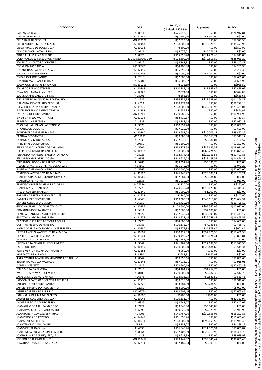| <b>ADVOGADO</b>                                                               | <b>OAB</b>            | Art. 84, V,                        | Pagamento                    | <b>SALDO</b>                 |
|-------------------------------------------------------------------------------|-----------------------|------------------------------------|------------------------------|------------------------------|
| <b>DARLAN GARCIA</b>                                                          | AL 8611               | (Limitado 150 S.M)<br>R\$26.912,81 | R\$0,00                      | R\$26.912,81                 |
| <b>DARLAN SILVA LEITE</b>                                                     | AL 11265              | R\$1.600,00                        | R\$1.600,00                  | R\$0,00                      |
| DENIS GASPAR DE SOUZA                                                         | MG 109108             | R\$2.923,50                        | R\$0,00                      | R\$2.923,50                  |
| DIEGO ADORNO MONTES CLARO<br>DIEGO ARAUJO DE SOUZA SILVA                      | AL 10483<br>AL 10033  | R\$108.600,00<br>R\$800,00         | R\$70.126,10<br>R\$0,00      | R\$38.473,90<br>R\$800,00    |
| DIOGO MANOEL NOVAIS LINO                                                      | AL 9111               | R\$4.076,21                        | R\$4.076,21                  | R\$0,00                      |
| DIOGO PHILLIP SILVA GUEIROS                                                   | AL 8826               | R\$15.596,28                       | R\$11.276,40                 | R\$4.319,88                  |
| DORA MARQUEZ PEREZ DRUMMOND                                                   | 30.290.832/0001-50    | R\$108.600,00                      | R\$70.513,80                 | R\$38.086,20                 |
| ED LINCOLN SANTOS DE OLIVEIRA<br><b>EDGAR DIVINO GARCIA</b>                   | AL 9112<br>MG 93592   | R\$8.347,81<br>R\$4.205,98         | R\$0,00<br>R\$0,00           | R\$8.347,81<br>R\$4.205,98   |
| EDILANE DA SILVA ALCANTARA                                                    | AL 12499              | R\$5.250,33                        | R\$0,00                      | R\$5.250,33                  |
| EDIMIR DE BARROS FILHO                                                        | PE 22498              | R\$5.000,00                        | R\$5.000,00                  | R\$0,00                      |
| <b>EDMAR JOSE DOS SANTOS</b><br><b>EDNALDO MAIORANO DE LIMA</b>               | AL 2018<br>AL 5081    | R\$2.600,00<br>R\$6.608,92         | R\$0,00<br>R\$0,00           | R\$2.600,00<br>R\$6.608,92   |
| <b>EDSON GOMES FERREIRA JUNIOR</b>                                            | MG 130253             | R\$935,89                          | R\$0,00                      | R\$935,89                    |
| <b>EDUARDO PALACIO STROBEL</b>                                                | AL 10848              | R\$10.381,48                       | R\$7.943,46                  | R\$2.438,02                  |
| EDVALDO LIRA DA SILVA NETO                                                    | AL 12927              | R\$674,00                          | R\$0,00                      | R\$674,00                    |
| ELAINE KARINE CARDOSO SILVA<br>ELIANE FERREIRA DE MORAIS CARVALHO             | AL 8001<br>AL 2587    | R\$666,66<br>R\$34.854,35          | R\$0,00<br>R\$23.588,04      | R\$666,66<br>R\$11.266,31    |
| ELIAS VITALINO CIPRIANO DE SOUSA                                              | PI 4769               | R\$88.272,18                       | R\$0,00                      | R\$88.272,18                 |
| ELIZABETE CRISTINA MORAES MALTA                                               | AL 11775              | R\$108.600,00                      | R\$29.108,96                 | R\$79.491,04                 |
| ELSON FLORENCIO SANTOS TEIXEIRA<br><b>EMERSON JOSE DOS SANTOS</b>             | AL 11282              | R\$454,95                          | R\$0,00<br>R\$0,00           | R\$454,95                    |
| EMERSON MELO MOTA ATAIDE                                                      | MG 117603<br>AL 11034 | R\$10.986,96<br>R\$2.419,37        | R\$0,00                      | R\$10.986,96<br>R\$2.419,37  |
| <b>ERIBERTO LINS BEZERRA</b>                                                  | AL 2888               | R\$2.987,18                        | R\$0,00                      | R\$2.987,18                  |
| ERICK RAPHAEL DE AGUIAR TENORIO                                               | AL 9578               | R\$10.852,20                       | R\$0,00                      | R\$10.852,20                 |
| <b>ERICKNILSON OLIVEIRA</b><br><b>EVANDSON DE MORAIS SANTOS</b>               | AL 5237<br>AL 10860   | R\$7.620,00<br>R\$19.683,03        | R\$0,00                      | R\$7.620,00                  |
| <b>FABIANA DOS SANTOS</b>                                                     | MS 15685              | R\$9.580,88                        | R\$10.205,17<br>R\$6.063,71  | R\$9.477,86<br>R\$3.517,17   |
| FABIANO ALVIM DOS ANJOS                                                       | AL 7935               | R\$12.036,61                       | R\$8.886,04                  | R\$3.150,57                  |
| FABIO BARBOSA MACHADO                                                         | AL 9850               | R\$1.200,00                        | R\$0,00                      | R\$1.200,00                  |
| FELIPE DE PADUA CUNHA DE CARVALHO                                             | AL 5206               | R\$53.777,54                       | R\$35.685,58                 | R\$18.091,96                 |
| <b>FELLIPE JOSE BANDEIRA CARRILHO</b><br>FERNANDO HENRIQUE FERREIRA PATRIOTA  | AL 10332<br>AL 8226   | R\$108.600,00<br>R\$32.474,42      | R\$68.724,55<br>R\$22.066,56 | R\$39.875,45<br>R\$10.407,86 |
| FERNANDO IGOR ABREU COSTA                                                     | AL 9958               | R\$43.614,73                       | R\$29.188,52                 | R\$14.426,21                 |
| <b>FERNANDO JACKSON DOS REIS PINTO</b>                                        | AL 5286               | R\$3.391,76                        | R\$3.391,76                  | R\$0,00                      |
| FILOMENA MARIA DE FREITAS GONCALVES                                           | AL 4163               | R\$6.040,20                        | R\$0,00                      | R\$6.040,20                  |
| <b>FLORIZIA LAMENHA CALHEIROS</b><br>FRANCISCA ALVES LOPES DE MORAES          | AL 5567<br>AL 4156B   | R\$70.000,00<br>R\$46.245,42       | R\$0,00<br>R\$29.088,21      | R\$70.000,00<br>R\$17.157,21 |
| FRANCISCA RAFAELA HOLANDA OLIVEIRA                                            | AL 10965              | R\$2.884,83                        | R\$2.884,83                  | R\$0,00                      |
| <b>FRANCISCO PETRONIO</b>                                                     | AL 2835               | R\$1.919,09                        | R\$0,00                      | R\$1.919,09                  |
| <b>FRANCISCO ROBERTO MENDES OLIVEIRA</b><br>FRANKLIN ALVES BARBOSA            | PI 7459A<br>AL 7779   | R\$220,00<br>R\$20.936,28          | R\$0,00<br>R\$13.620,89      | R\$220,00<br>R\$7.315,39     |
| <b>FREDERICO FELIX BARBOSA</b>                                                | AL 12249              | R\$1.000,00                        | R\$1.000,00                  | R\$0,00                      |
| <b>GABRIELA DE REZENDE GOMES ALVES</b>                                        | AL 11422              | R\$240,00                          | R\$0,00                      | R\$240,00                    |
| <b>GABRIELA MEDEIROS ROCHA</b>                                                | AL 6345               | R\$69.309,39                       | R\$45.615,05                 | R\$23.694,34                 |
| <b>GEANNE CERQUEIRA DE LIMA</b><br><b>GILVANIA FRANCISCO DE BRITO SOUZA</b>   | AL 6953<br>AL 10336   | R\$10.426,10<br>R\$108.600,00      | R\$0,00<br>R\$96.567,96      | R\$10.426,10<br>R\$12.032,04 |
| <b>GIOVANNI MOREIRA SANTOS</b>                                                | AL 5911               | R\$2.600,00                        | R\$2.600,00                  | R\$0,00                      |
| <b>GLAUCIA FRANCINE CANDIDA CALHEIROS</b>                                     | AL 9822               | R\$57.540,24                       | R\$38.091,07                 | R\$19.449,17                 |
| <b>GUSTAVO HUGO SANTOS LESSA</b>                                              | AL 11577              | R\$42.523,44                       | R\$26.059,87                 | R\$16.463,57                 |
| <b>GUSTAVO JOSE PINTO DE MOURA SOUZA</b><br><b>GUSTAVO RIBEIRO DE ALMEIDA</b> | AL 7770<br>AL 8783    | R\$4.600,00<br>R\$10.372,07        | R\$0,00<br>R\$7.936,58       | R\$4.600,00<br>R\$2.435,49   |
| HANNA GABRIELA CARDOSO NUNES FERREIRA                                         | AL 10780              | R\$5.579,88                        | R\$4.978,44                  | R\$601,44                    |
| HEITOR ANGELO WANDERLEY DE ALMEIDA                                            | AL 10601              | R\$50.227,89                       | R\$32.771,30                 | R\$17.456,59                 |
| HENRIQUE PAULO DE MIRANDA                                                     | AL 11544              | R\$19.496,22                       | R\$15.674,41                 | R\$3.821,81                  |
| HERBERT DE OLIVEIRA SILVA<br>HILTON AGRA DE ALBUQUERQUE NETTO                 | AL 11008<br>AL 9564   | R\$1.361,09<br>R\$41.267,50        | R\$0,00<br>R\$27.687,95      | R\$1.361,09<br>R\$13.579,55  |
| <b>HSU CHUN CHING</b>                                                         | AL 10199              | R\$30.000,00                       | R\$20.484,66                 | R\$9.515,34                  |
| IGOR EWERTON FLORINDO RYTCHYSKYI                                              | AL 12153              | R\$960,00                          | R\$960,00                    | R\$0,00                      |
| <b>IGOR MOTA DE ALENCAR</b>                                                   | PI 6590               | R\$687,91                          | R\$687,91                    | R\$0,00                      |
| ILARA CYNTHIA BRASILEIRO MENDONCA DE ARAUJO<br>INGRID MAIRA SILVA MACHADO     | AL 8647<br>AL 11148   | R\$9.890,66<br>R\$7.918,01         | R\$0,00<br>R\$0,00           | R\$9.890,66<br>R\$7.918,01   |
| <b>ISABEL ALVES NETA</b>                                                      | AL 3127               | R\$22.460,19                       | R\$0,00                      | R\$22.460,19                 |
| ITALO MEIRA DA SILVEIRA                                                       | AL 7616               | R\$4.464,75                        | R\$4.464,75                  | R\$0,00                      |
| IVAN BERGSON VAZ DE OLIVEIRA                                                  | AL 8105               | R\$10.600,00                       | R\$8.082,30                  | R\$2.517,70                  |
| JACKELINE SIQUEIRA FORMIGA<br>JACKSON SEBASTIAO DE OLIVEIRA FERREIRA          | AL 6378<br>AL 11176   | R\$13.416,05<br>R\$8.918,60        | R\$9.882,59<br>R\$0,00       | R\$3.533,46<br>R\$8.918,60   |
| JADSON EDUARDO DOS SANTOS                                                     | AL 12228              | R\$3.784,59                        | R\$3.784,59                  | R\$0,00                      |
| JAIRON PINHEIRO DO NASCIMENTO                                                 | AL 2050               | R\$8.000,00                        | R\$0,00                      | R\$8.000,00                  |
| JANEIR PARREIRA REIS DE LIMA                                                  | MG 92753              | R\$62.605,46                       | R\$0,00                      | R\$62.605,46                 |
| JANY KARLA DE LIMA MELO BRITO<br>JAQUELINE CLAUDINO DA SILVA                  | AL 10500<br>AL 10042  | R\$700,00<br>R\$20.331,97          | R\$700,00<br>R\$0,00         | R\$0,00<br>R\$20.331,97      |
| JAYME BARBOSA CANUTO FILHO                                                    | AL 6335               | R\$2.442,07                        | R\$0,00                      | R\$2.442,07                  |
| JOAO ALIPIO DE ARRUDA MADEIRO                                                 | AL 7424               | R\$3.945,80                        | R\$3.945,80                  | R\$0,00                      |
| JOAO ALVARO QUINTILIANO BARROS                                                | AL 6695<br>AL 4205    | R\$9.025,90                        | R\$7.075,98                  | R\$1.949,92                  |
| JOAO BATISTA GONCALVES VARJAO<br>JOAO PEROBA DE AZEVEDO                       | AL 14148              | R\$45.767,96<br>R\$11.650,46       | R\$30.565,08<br>R\$0,00      | R\$15.202,88<br>R\$11.650,46 |
| JOAO SOARES FERREIRA                                                          | AL 10531              | R\$108.600,00                      | R\$96.658,52                 | R\$11.941,48                 |
| JOAO TENORIO CAVALCANTE                                                       | AL 971                | R\$4.238,27                        | R\$0,00                      | R\$4.238,27                  |
| JOAO VICENTE DA SILVA<br>JOAQUIM BARBOSA DA FONSECA NETO                      | AL 4635<br>AL 8064    | R\$16.640,76<br>R\$37.402,69       | R\$11.570,94<br>R\$23.013,96 | R\$5.069,82<br>R\$14.388,73  |
| JOATHAS LINS DE ALBUQUERQUE                                                   | AL 3428               | R\$9.619,99                        | R\$0,00                      | R\$9.619,99                  |
| JOELSON DE RESENDE NUNES                                                      | MG 109452             | R\$78.147,87                       | R\$39.346,47                 | R\$38.801,40                 |
| JONATHAN TAVARES DE SANTANA                                                   | AL 12234              | R\$2.189,63                        | R\$3.303,73                  | R\$0,00                      |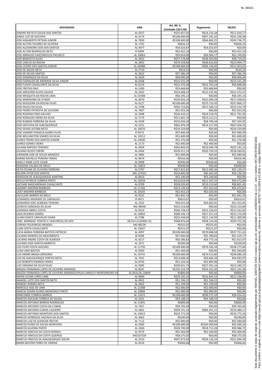| <b>ADVOGADO</b>                                                                                                   | <b>OAB</b>                     | Art. 84, V,<br>(Limitado 150 S.M) | Pagamento                   | <b>SALDO</b>                 |
|-------------------------------------------------------------------------------------------------------------------|--------------------------------|-----------------------------------|-----------------------------|------------------------------|
| JONHNY BATISTA SOUZA DOS SANTOS                                                                                   | AL 9237                        | R\$35.837,05                      | R\$24.216,28                | R\$11.620,77                 |
| JORGE LUIZ DE GOUVEIA                                                                                             | AL 4174                        | R\$108.600,00                     | R\$67.241,42                | R\$41.358,58                 |
| JOSE ADALBERTO PETEAN JUNIOR<br>JOSE AILTON TAVARES DE OLIVEIRA                                                   | AL 7830<br>AL 1741             | R\$108.600,00<br>R\$826,23        | R\$64.863,25<br>R\$0,00     | R\$43.736,75<br>R\$826,23    |
| JOSE ALEXANDRE GOIS DOS SANTOS                                                                                    | AL 4077                        | R\$4.023,87                       | R\$4.023,87                 | R\$0,00                      |
| JOSE ALTAIR RODRIGUES NETO                                                                                        | PI 5009                        | R\$3.422,10                       | R\$0,00                     | R\$3.422,10                  |
| JOSE ARNALDO VASCONCELOS PACHECO<br>JOSE BENEDITO ALVES                                                           | AL 10063<br>AL 4452            | R\$9.654,00<br>R\$57.178,68       | R\$6.904,17<br>R\$48.459,06 | R\$2.749,83<br>R\$8.719,62   |
| JOSE CARLOS DA ROCHA                                                                                              | AL 2855                        | R\$70.528,60                      | R\$46.623,83                | R\$23.904,77                 |
| JOSE CICERO DOS SANTOS JUNIOR                                                                                     | AL 5648B                       | R\$108.600,00                     | R\$96.146,09                | R\$12.453,91                 |
| JOSE DE SOUZA NETO                                                                                                | AL 2710                        | R\$24,25                          | R\$0,00                     | R\$24,25                     |
| JOSE DE SOUZA SANTOS<br>JOSE DOMINGOS DA SILVA                                                                    | AL 4022<br>AL 3629             | R\$7.386,39<br>R\$8.000,00        | R\$0,00<br>R\$0,00          | R\$7.386,39<br>R\$8.000,00   |
| JOSE EVERALDO DE ANDRADE SILVA JUNIOR                                                                             | AL 6568                        | R\$15.531,29                      | R\$0,00                     | R\$15.531,29                 |
| JOSE FLAVIO CAVALCANTE DA SILVA                                                                                   | AL 6124                        | R\$22.570,28                      | R\$15.702,24                | R\$6.868,04                  |
| <b>JOSE FREITAS DIAS</b><br>JOSE GREGORIO ALVES CALDAS                                                            | AL 5289<br>AL 2502             | R\$3.668,84<br>R\$24.608,33       | R\$3.668,84<br>R\$12.235,96 | R\$0,00<br>R\$12.372,37      |
| JOSE MESQUITA DA ROCHA LIMA                                                                                       | AL 5334B                       | R\$6.195,13                       | R\$0,00                     | R\$6.195,13                  |
| JOSE MINERVINO DE ATAIDE                                                                                          | AL 4070                        | R\$39.693,10                      | R\$22.094,29                | R\$17.598,81                 |
| JOSE NOGUEIRA DA ROCHA FILHO                                                                                      | AL 8127                        | R\$108.600,00                     | R\$70.733,43                | R\$37.866,57                 |
| JOSE PAULO DA SILVA<br>JOSE PEDRO PATRIOTA DE OLIVEIRA                                                            | AL 2708<br>AL 7607             | R\$56.723,85<br>R\$1.023,26       | R\$37.569,15<br>R\$0,00     | R\$19.154,70<br>R\$1.023,26  |
| JOSE ROGERIO PAES GALVAO                                                                                          | AL 2948                        | R\$36.310,21                      | R\$24.518,76                | R\$11.791,45                 |
| JOSE RONALDO VIEIRA DA SILVA                                                                                      | AL 7174                        | R\$11.661,76                      | R\$23.212,51                | R\$0,00                      |
| JOSE RUBENS FERREIRA DA SILVA                                                                                     | AL 9199                        | R\$16.034,29                      | R\$8.709,34                 | R\$7.324,95                  |
| JOSE SAPUCAIA DE ALBUQUERQUE<br>JOSE SEIXAS JATOBA NETO                                                           | AL 5251<br>AL 10670            | R\$81.876,29<br>R\$34.329,89      | R\$14.217,94<br>R\$0,00     | R\$67.658,35<br>R\$34.329,89 |
| JOSE VAGNER FONSECA NUNES FILHO                                                                                   | PI 9573                        | R\$7.846,99                       | R\$0,00                     | R\$7.846,99                  |
| JOSE WELLINGTON SOARES DA SILVA                                                                                   | AL 10512                       | R\$1.600,00                       | R\$0,00                     | R\$1.600,00                  |
| JUAREZ FREIRE DOS SANTOS JUNIOR<br><b>JUAREZ GOMES VIEIRA</b>                                                     | AL 10630<br>AL 2173            | R\$1.276,48<br>R\$2.400,00        | R\$0,00<br>R\$2.400,00      | R\$1.276,48                  |
| <b>JULIANA RAPOSO TENORIO</b>                                                                                     | AL 4929                        | R\$42.843,01                      | R\$19.699,78                | R\$0,00<br>R\$23.143,23      |
| <b>JULIANO ACIOLY FREIRE</b>                                                                                      | AL 6564                        | R\$39.311,14                      | R\$20.750,33                | R\$18.560,81                 |
| JURANDIR JOSE DE SOUZA MENEZES                                                                                    | AL 3885                        | R\$2.689,06                       | R\$0,00                     | R\$2.689,06                  |
| KARINE RAFAELLE PEREIRA FARIAS<br><b>KARLLY ANNE LEITE CESAR</b>                                                  | AL 9674<br>AL 9908             | R\$416,46<br>R\$500,00            | R\$0,00<br>R\$500,00        | R\$416,46<br>R\$0,00         |
| KASSIANA CALADO DE MELO                                                                                           | AL 13823                       | R\$400,00                         | R\$0,00                     | R\$400,00                    |
| KATIA FELINA DE OLIVEIRA FERREIRA                                                                                 | AL 5797                        | R\$17.815,83                      | R\$12.695,36                | R\$5.120,47                  |
| <b>KELSON VITOR DOS SANTOS</b><br>KENISSON DE ALBUQUERQUE MARTINS                                                 | MG 127921<br>AL 8423           | R\$10.800,00<br>R\$3.240,00       | R\$6.563,50<br>R\$3.240,00  | R\$4.236,50<br>R\$0,00       |
| KEYLLA PATRICIA CORREIA PINTO                                                                                     | AL 10418                       | R\$16.019,94                      | R\$11.547,25                | R\$4.472,69                  |
| LACYANE MASCARENHAS CAVALCANTE                                                                                    | AL 8709                        | R\$28.020,85                      | R\$19.219,40                | R\$8.801,45                  |
| LAIANNY AMORIM BARBOZA                                                                                            | AL 11766                       | R\$13.239,43                      | R\$7.563,56                 | R\$5.675,87                  |
| LAISY AMORIM BARBOZA<br>LALCILENE BARROS DE MELO                                                                  | AL 10535<br>AL 9331            | R\$3.453,25<br>R\$1.841,33        | R\$3.620,00<br>R\$0,00      | R\$0,00<br>R\$1.841,33       |
| LEONARDO ANDRADE DE CARVALHO                                                                                      | PI 4071                        | R\$610,67                         | R\$0,00                     | R\$610,67                    |
| LEONARDO JOSE ALMEIDA TEIXEIRA<br>LEONCIO GONZAGA DA SILVA                                                        | AL 2525                        | R\$6.015,50<br>R\$10.153,60       | R\$4.602,05                 | R\$1.413,45                  |
| LEONIDAS ABREU COSTA                                                                                              | MG 48458<br>AL 9523            | R\$46.728,47                      | R\$0,00<br>R\$31.226,65     | R\$10.153,60<br>R\$15.501,82 |
| LIGIA RICARDO GOMES                                                                                               | AL 10803                       | R\$80.536,73                      | R\$57.357,24                | R\$23.179,49                 |
| LILIAN EUNICE CARVALHO VIVAN                                                                                      | AL 5786                        | R\$32.434,92                      | R\$21.124,93                | R\$11.309,99                 |
| LIMA MARINHO PONTES E VASCONCELLOS ADV<br>LORENA FIGUEIREDO MENDES                                                | 06.014.214/0001-01<br>MG 86228 | R\$88.876,66<br>R\$325,05         | R\$58.124,36<br>R\$325,05   | R\$30.752,30<br>R\$0,00      |
| LUAN COSTA CAVALCANTE                                                                                             | AL 13037                       | R\$221,07                         | R\$221,07                   | R\$0,00                      |
| LUCIA MARIA FERREIRA BATISTA PATRICIO                                                                             | AL 4997                        | R\$108.600,00                     | R\$70.848,58                | R\$37.751,42                 |
| LUCIANA MORAES DO NASCIMENTO                                                                                      | SE 6509                        | R\$7.000,00                       | R\$5.780,83                 | R\$1.219,17                  |
| LUCIANO ANDRE COSTA DE ALMEIDA<br>LUCIANO JOSE SANTOS BARRETO                                                     | AL 4217<br>AL 3371             | R\$6.586,83<br>R\$200,00          | R\$4.773,16<br>R\$0,00      | R\$1.813,67<br>R\$200,00     |
| LUIS FILIPE COSTA AVELINO                                                                                         | AL 11750                       | R\$108.600,00                     | R\$70.326,34                | R\$38.273,66                 |
| LUISA LIMA BASTOS                                                                                                 | AL 9583                        | R\$1.560,00                       | R\$0,00                     | R\$1.560,00                  |
| LUIZ ANDRE BRAGA GRIGORIO<br>LUIZ DE ALBUQUERQUE PONTES NETO                                                      | AL 10741<br>AL 7031            | R\$108.600,00<br>R\$13.698,36     | R\$70.513,80<br>R\$9.604,39 | R\$38.086,20<br>R\$4.093,97  |
| LUIZ ROBERTO BARROS FARIAS                                                                                        | AL 8740                        | R\$1.226,26                       | R\$2.895,98                 | R\$0,00                      |
| LUIZ VIRGINIO DA SILVA FILHO                                                                                      | AL 9385                        | R\$39.631,73                      | R\$27.391,16                | R\$12.240,57                 |
| MAGDA FERNANDA LOPES DE OLIVEIRA ANDRADE<br>MAGDA FERNANDA LOPES DE OLIVEIRA ANDRADE/PAULA JANIELLY MONTENEGRO SA | AL 8541<br>AL 8541/AL 10839    | R\$105.524,79<br>R\$800,00        | R\$54.423,30<br>R\$0,00     | R\$51.101,49<br>R\$800,00    |
| MAIRA CELINA LOPES LIMA                                                                                           | AL 9690                        | R\$29.182,23                      | R\$16.843,33                | R\$12.338,90                 |
| <b>MANOEL LEITE DOS SANTOS NETO</b>                                                                               | AL 4952                        | R\$1.196,22                       | R\$1.196,22                 | R\$0,00                      |
| MANOEL ROMAO NETO<br>MARCELO JOSE DE LIMA                                                                         | AL 3663<br>AL 12308            | R\$1.109,69<br>R\$2.000,00        | R\$1.109,69<br>R\$2.000,00  | R\$0,00<br>R\$0,00           |
| MARCIA ZENIRA NUNES MENDONCA PINTO                                                                                | AL 10890                       | R\$2.000,00                       | R\$2.000,00                 | R\$0,00                      |
| <b>MARCONDE CORREIA BARROS</b>                                                                                    | AL 11672                       | R\$108.600,00                     | R\$99.575,59                | R\$9.024,41                  |
| <b>MARCOS ADILSON CORREIA DE SOUZA</b><br><b>MARCOS ANTONIO BARROS RODRIGUES</b>                                  | AL 3241<br>AL 11991            | R\$4.188,33<br>R\$800,00          | R\$4.188,33<br>R\$0,00      | R\$0,00<br>R\$800,00         |
| MARCOS ANTONIO COSTA DA CUNHA                                                                                     | AL 7957                        | R\$9.765,94                       | R\$0,00                     | R\$9.765,94                  |
| MARCOS ANTONIO CUNHA CAJUEIRO                                                                                     | AL 5661                        | R\$99.741,32                      | R\$83.261,15                | R\$16.480,17                 |
| MARCOS ANTONIO MONTEIRO DOS SANTOS                                                                                | AL 10413                       | R\$10.772,50                      | R\$0,00                     | R\$10.772,50                 |
| MARCOS HENRIQUE VALENCA DA SILVA<br>MARCOS LUIZ DE ALENCAR FREITAS                                                | AL 4062<br>AL 7112             | R\$240,00<br>R\$5.000,00          | R\$0,00<br>R\$0,00          | R\$240,00<br>R\$5.000,00     |
| <b>IMARCOS PLINIO DE SOUZA MONTEIRO</b>                                                                           | AL 4383                        | R\$108.600,00                     | R\$105.909,84               | R\$2.690,16                  |
| <b>MARCOS SILVEIRA PORTO</b>                                                                                      | AL 3260                        | R\$28.700,00                      | R\$18.713,28                | R\$9.986,72                  |
| MARCOS VINICIUS DA COSTA ROMAO<br>MARCUS VINICIUS DA COSTA QUEIROZ                                                | AL 9579<br>MG107259            | R\$5.560,00<br>R\$8.275,03        | R\$2.560,00<br>R\$0,00      | R\$3.000,00<br>R\$8.275,03   |
| MARCUS VINICIUS DE ALBUQUERQUE SOUZA                                                                              | AL 3510                        | R\$47.972,82                      | R\$26.126,33                | R\$21.846,49                 |
| MARIA BEATRIZ FERRO DE OMENA                                                                                      | AL 8124                        | R\$666,66                         | R\$0,00                     | R\$666,66                    |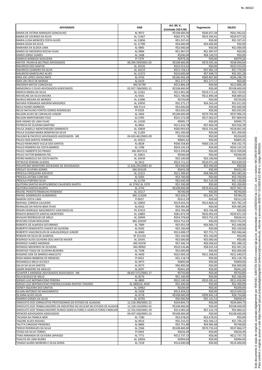| <b>ADVOGADO</b>                                                                        | <b>OAB</b>                      | Art. 84, V,<br>(Limitado 150 S.M) | Pagamento                   | <b>SALDO</b>                |
|----------------------------------------------------------------------------------------|---------------------------------|-----------------------------------|-----------------------------|-----------------------------|
| MARIA DE FATIMA MARQUES GONCALVES                                                      | AL 9072                         | R\$108.600,00                     | R\$46.657,38                | R\$61.942,62                |
| MARIA DE LOURDES DA SILVA                                                              | AL 11467                        | R\$82.971,76                      | R\$53.294,41                | R\$29.677,35                |
| <b>MARIA LUISA MENEZES COSTA ALVES</b><br>MARIA ZILDA DA SILVA                         | AL 13856<br>AL 11789            | R\$1.337,41<br>R\$4.600,00        | R\$0,00<br>R\$4.600,00      | R\$1.337,41<br>R\$0,00      |
| MARIANA DA ALDEIA LIMA                                                                 | AL 9885                         | R\$2.000,00                       | R\$0,00                     | R\$2.000,00                 |
| <b>MARIO DE MEDEIROS ROCHA FILHO</b><br><b>MARIO JORGE GOMES</b>                       | AL 9984<br>AL 1408              | R\$1.987,07<br>R\$300,00          | R\$1.987,07<br>R\$8.100,55  | R\$0,00<br>R\$0,00          |
| <b>MARKUS BARBOSA NOGUEIRA</b>                                                         | PI 7379                         | R\$979,26                         | R\$0,00                     | R\$979,26                   |
| MATOS PAURA & BELTRAO ADVOGADOS                                                        | 08.394.599/0001-05              | R\$108.600,00                     | R\$70.505,36                | R\$38.094,64                |
| <b>MAURICIO DOS SANTOS</b><br>MAURICIO LEANDRO DA SILVA                                | AL 10156<br>AL 10219            | R\$23.553,02<br>R\$15.758,13      | R\$0,00<br>R\$7.981,19      | R\$23.553,02<br>R\$7.776,94 |
| MAURICIO MARCELINO ALVES                                                               | AL 11572                        | R\$10.000,00                      | R\$7.698,72                 | R\$2.301,28                 |
| MAX JOE LOPES CAVALCANTE                                                               | AL 4743                         | R\$106.056,59                     | R\$69.807,80                | R\$36.248,79                |
| MAX URI CRUZ DE MORAIS<br><b>MEDZKER MATOS CONCEICAO</b>                               | AL 6419<br>MG 91799             | R\$1.277,17<br>R\$13.866,29       | R\$1.277,17<br>R\$0,00      | R\$0,00<br>R\$13.866,29     |
| MENDONCA E FILHO ADVOGADOS ASSOCIADOS                                                  | 02.937.768/0001-11              | R\$108.600,00                     | R\$0,00                     | R\$108.600,00               |
| MERCIA MARIA DA SILVA                                                                  | AL 11561                        | R\$13.901,06                      | R\$10.171,14                | R\$3.729,92                 |
| <b>MICHELINE DA SILVA MOURA</b><br><b>MURILO MOURA DE MENDES</b>                       | AL 9501<br>AL 11686             | R\$21.780,00<br>R\$720,00         | R\$12.890,38<br>R\$0,00     | R\$8.889,62<br>R\$720,00    |
| NAYARA FERNANDA AMORIM MADEIROS                                                        | AL 10950                        | R\$5.275,17                       | R\$4.263,34                 | R\$1.011,83                 |
| NEILO NUNES BARBOSA                                                                    | MG 9114                         | R\$3.600,00                       | R\$0,00                     | R\$3.600,00                 |
| NELIO NATALINO FONTES GOMES RODRIGUES<br>NELSON ALVES DE CARVALHO JUNIOR               | PI 9228<br>AL 3464              | R\$3.035,05<br>R\$108.600,00      | R\$0,00<br>R\$70.703,46     | R\$3.035,05<br>R\$37.896,54 |
| NELSON MONTENEGRO FIGO                                                                 | AL 6785                         | R\$25.272,00                      | R\$17.462,07                | R\$7.809,93                 |
| <b>NOE HIGINO DE LIMA FILHO</b><br>PATRICIA DE OLIVEIRA MARTINS                        | AL 11030<br>AL 8961             | R\$995,77                         | R\$0,00                     | R\$995,77                   |
| PAULA JANIELLY MONTENEGRO SARMENTO                                                     | AL 10839                        | R\$11.616,78<br>R\$60.993,83      | R\$7.660,39<br>R\$42.191,89 | R\$3.956,39<br>R\$18.801,94 |
| PAULA SUZANA MARIA BOMFIM DA SILVA                                                     | AL 11283                        | R\$1.200,00                       | R\$0,00                     | R\$1.200,00                 |
| PAULINO & PACIFICO ADVOGADOS ASSOCIADOS ME<br><b>PAULO DOS SANTOS FERREIRA</b>         | 04.433.461/0001-09<br>AL 10315  | R\$250,00<br>R\$805,42            | R\$0,00<br>R\$0,00          | R\$250,00                   |
| PAULO RAIMUNDO VILELA DOS SANTOS                                                       | AL 8028                         | R\$66.558,85                      | R\$60.226,10                | R\$805,42<br>R\$6.332,75    |
| PAULO ROMERO DA COSTA BARROS                                                           | AL 1786                         | R\$43.135,55                      | R\$0,00                     | R\$43.135,55                |
| PAULO UMBERTO DO PRADO<br><b>PAULO VICTOR BARBOSA FIEL</b>                             | MG 0057212<br>AL 10821          | R\$13.509,84<br>R\$500,00         | R\$0,00<br>R\$0,00          | R\$13.509,84<br>R\$500,00   |
| PEDRO MARCELO DA COSTA MOTA                                                            | AL 10439                        | R\$3.100,00                       | R\$3.100,00                 | R\$0,00                     |
| <b>PETRUCIO PEREIRA GUEDES</b>                                                         | AL 3412                         | R\$13.711,21                      | R\$10.071,28                | R\$3.639,93                 |
| PIAUHYLINO MONTEIRO SOCIEDADE DE ADVOGADOS<br><b>PRESLEY OLIVEIRA GOMES</b>            | 11.626.291/0001-44<br>MG 054105 | R\$3.940,00<br>R\$433,39          | R\$3.940,00<br>R\$0,00      | R\$0,00<br>R\$433,39        |
| PRISCILA CERQUEIRA AZEVEDO                                                             | AL 12221                        | R\$11.389,65                      | R\$8.006,09                 | R\$3.383,56                 |
| PRISCILA JATOBA CORCINO                                                                | AL 9283                         | R\$3.700,00                       | R\$0,00                     | R\$3.700,00                 |
| PRISCILA PORFIRIO SILVA<br>QUITEIRA DANTAS MURTA/BRENO CALHEIROS MURTA                 | AL 11730<br>AL 2743/ AL 1570    | R\$2.640,39<br>R\$1.200,00        | R\$1.510,39<br>R\$0,00      | R\$1.130,00<br>R\$1.200,00  |
| <b>QUITERIA DANTAS MURTA</b>                                                           | AL 2743                         | R\$108.600,00                     | R\$70.654,26                | R\$37.945,74                |
| RACHEL PEIXOTO RAMALHO ROSENDO                                                         | AL 10117                        | R\$740,00                         | R\$0,00                     | R\$740,00                   |
| RAFAEL DOMINGUES GUIMARAES<br>RAMON COSTA LIMA                                         | MG 113204<br>PI 8037            | R\$2.626,27<br>R\$312,59          | R\$1.841,72<br>R\$0,00      | R\$784,55<br>R\$312,59      |
| RAPHAEL CORREIA CAJUEIRO                                                               | AL 10850                        | R\$19.650,35                      | R\$13.868,16                | R\$5.782,19                 |
| REINALDO DA ROCHA BAIA FILHO                                                           | AL 8162                         | R\$4.485,84                       | R\$0,00                     | R\$4.485,84                 |
| RENAN HENRIQUE NASCIMENTO VASCONCELOS<br>RENATO BENEDITO DANTAS MONTEIRO               | PE 37619<br>AL 14883            | R\$3.766,98<br>R\$81.873,59       | R\$3.766,98<br>R\$42.002,03 | R\$0,00<br>R\$39.871,56     |
| RIVALDO RODRIGUES DE MELO                                                              | AL 10949                        | R\$54.378,60                      | R\$53.752,19                | R\$626,41                   |
| RIVELINO CESAR NOGUEIRA                                                                | MG 104397                       | R\$53.752,03                      | R\$0,00                     | R\$53.752,03                |
| ROBERTA DE ALMEIDA SATURNINO<br>ROBERTO DEMOCRITO CHAVES DE OLIVEIRA                   | AL 7989<br>AL 8183              | R\$5.955,59<br>R\$2.100,00        | R\$4.906,73<br>R\$0,00      | R\$1.048,86<br>R\$2.100,00  |
| ROBERTO VASCONCELOS DE ALBUQUERQUE JUNIOR                                              | AL 6060                         | R\$13.698,37                      | R\$7.751,71                 | R\$5.946,66                 |
| ROBSON DA SILVA DE ALMEIDA                                                             | SP 251103                       | R\$2.160,00                       | R\$2.160,00                 | R\$0,00                     |
| RODRIGO ALVES OLIVEIRA DOS SANTOS XAVIER<br>RODRIGO JUAREZ ANDRADE                     | AL 10545<br>MG 91078            | R\$3.000,00<br>R\$7.446,74        | R\$3.000,00<br>R\$6.058,42  | R\$0,00<br>R\$1.388,32      |
| RODRIGO MEDEIROS DE OLIVEIRA                                                           | MG 89902                        | R\$10.526,86                      | R\$8.035,54                 | R\$2.491,32                 |
| RODRYGO TIAGO DE OLIVEIRA BEZERRA                                                      | AL 7598                         | R\$2.000,00                       | R\$0,00                     | R\$2.000,00                 |
| ROGERIO JOSE DE BARROS ANACLETO<br>ROSA MARIA BARBOSA DE MENESES                       | AL 4430<br>PI 4452              | R\$22.909,32<br>R\$2.118,74       | R\$11.268,65<br>R\$0,00     | R\$11.640,67<br>R\$2.118,74 |
| ROSANGELA MELO ACCIOLY                                                                 | AL 4973                         | R\$800,00                         | R\$0,00                     | R\$800,00                   |
| <b>SALUS DA SILVA SANTOS</b>                                                           | AL 8575                         | R\$6.800,00                       | R\$0,00                     | R\$6.800,00                 |
| SAMIR MADEIRO DE ARAUJO<br>SCHAPER E ANDRADE ADVOGADOS ASSOCIADOS ME                   | AL 8307<br>08.857.071/0001-17   | R\$441,60<br>R\$750,80            | R\$0,00<br>R\$0,00          | R\$441,60<br>R\$750,80      |
| SEILA BUZILES DE MELO                                                                  | AL 8576                         | R\$1.100,00                       | R\$0,00                     | R\$1.100,00                 |
| SERGIO LUIZ NEPOMUCENO PEREIRA                                                         | AL 4800                         | R\$22.100,56                      | R\$10.281,62                | R\$11.818,94                |
| SERGIO LUIZ NEPOMUCENO PEREIRA/JULIANA RAPOSO TENORIO<br>SIDNEY SIQUEIRA DOS SANTOS    | AL 4800/AL 4929<br>AL 10962     | R\$2.400,00<br>R\$200,00          | R\$0,00<br>R\$0,00          | R\$2.400,00<br>R\$200,00    |
| SILVAN ANTONIO DO NASCIMENTO                                                           | AL 5328                         | R\$13.459,52                      | R\$0,00                     | R\$13.459,52                |
| SILVANA ALVES SILVA                                                                    | AL 4178                         | R\$108.600,00                     | R\$99.845,14                | R\$8.754,86                 |
| SIMARIO GOMES DA SILVA<br>SINDICATO DOS JORNALISTAS PROFISSIONAIS DO ESTADO DE ALAGOAS | AL 10795<br>12.318.390/0001-21  | R\$6.000,00<br>R\$34.844,73       | R\$5.141,53<br>R\$0,00      | R\$858,47<br>R\$34.844,73   |
| SINDICATO DOS TRABALHADORES DA INDUSTRIA DO ACUCAR NO ESTADO DE ALAGOA                 | 12.158.226/0001-02              | R\$108.600,00                     | R\$0,00                     | R\$108.600,00               |
| SINDICATO DOS TRABALHADORES RURAIS AGRICULTORES E AGRICULTORAS FAMILIAR                | 12.762.936/0001-39              | R\$13.083,20                      | R\$7.222,79                 | R\$5.860,41                 |
| SPENCER ADVOGADOS ASSOCIADOS<br><b>TACIANA DA FRANCA NERI</b>                          | 04.507.436/0001-22<br>AL 7180   | R\$108.600,00<br>R\$3.678,05      | R\$0,00<br>R\$3.678,05      | R\$108.600,00<br>R\$0,00    |
| <b>TAGORE ALVES NOVAES</b>                                                             | AL 9014                         | R\$5.210,35                       | R\$3.506,12                 | R\$1.704,23                 |
| <b>TALYTA CARDOSO PRAZERES</b>                                                         | AL 8866                         | R\$5.751,88                       | R\$4.983,08                 | R\$768,80                   |
| <b>TERCIO RODRIGUES DA SILVA</b><br><b>TESSIO DA SILVA TORRES</b>                      | AL 2566<br>PI 5944              | R\$108.600,00<br>R\$626,49        | R\$70.733,43<br>R\$0,00     | R\$37.866,57<br>R\$626,49   |
| THAIS MIRANDA DE OLIVEIRA JAPIASSO                                                     | AL 7771                         | R\$12.737,72                      | R\$0,00                     | R\$12.737,72                |
| THALITA DE LIMA NUNES                                                                  | AL 10056                        | R\$994,69                         | R\$0,00                     | R\$994,69                   |
| THIAGO ALANO MOREIRA E SILVA DORIA                                                     | AL 7318                         | R\$14.000,00                      | R\$0,00                     | R\$14.000,00                |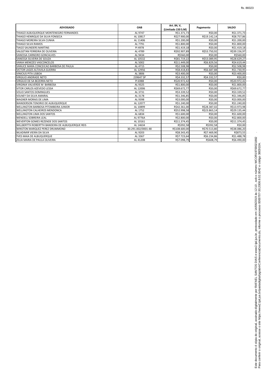| <b>ADVOGADO</b>                                  | <b>OAB</b>         | Art. 84, V,        |              | <b>SALDO</b> |
|--------------------------------------------------|--------------------|--------------------|--------------|--------------|
|                                                  |                    | (Limitado 150 S.M) | Pagamento    |              |
| THIAGO ALBUQUERQUE MONTENEGRO FERNANDES          | AL 9747            | R\$1.371,73        | R\$0,00      | R\$1.371,73  |
| THIAGO HENRIQUE DA SILVA FONSECA                 | AL 10817           | R\$27.900,00       | R\$19.142,14 | R\$8.757,86  |
| THIAGO MOREIRA SILVA CUNHA                       | AL 11406           | R\$1.200,00        | R\$0,00      | R\$1.200,00  |
| THIAGO SILVA RAMOS                               | AL 7791            | R\$1.800,00        | R\$0,00      | R\$1.800,00  |
| <b>TIAGO SAUNDERS MARTINS</b>                    | PI 4978            | R\$1.419,18        | R\$0,00      | R\$1.419,18  |
| VALGETAN FERREIRA DE OLIVEIRA                    | AL 4789            | R\$92.907,89       | R\$53.750,92 | R\$39.156,97 |
| <b>VANESSA CARNEIRO GONCALVES</b>                | AL 9434            | R\$560,00          | R\$0,00      | R\$560,00    |
| VANESSA SILVEIRA DE SOUZA                        | AL 10532           | R\$81.719,22       | R\$53.089,95 | R\$28.629,27 |
| VANIA MENEZES VASCONCELOS                        | AL 5002            | R\$11.449,00       | R\$6.829,56  | R\$4.619,44  |
| VANUCE MARA CONCEICAO BARBOSA DE PAULA           | AL 4715            | R\$2.508,98        | R\$0,00      | R\$2.508,98  |
| <b>VICTOR LAGES ALTAVILA GUERRA</b>              | AL 12956           | R\$8.418,83        | R\$6.687,88  | R\$1.730,95  |
| <b>VINICIUS PITA LISBOA</b>                      | AL 3806            | R\$3.400,00        | R\$0,00      | R\$3.400,00  |
| <b>VIRGILIO ANDRADE NETO</b>                     | 239647 SP          | R\$4.332,57        | R\$4.332,57  | R\$0,00      |
| <b>VIRGILIO DE SA BEZERRA NETO</b>               | PI 6988            | R\$20.972,42       | R\$0,00      | R\$20.972,42 |
| VIRGINIA VALVERDE M BARBOSA                      | AL 9325            | R\$1.800,00        | R\$0,00      | R\$1.800,00  |
| VITOR CARLOS AZEVEDO LESSA                       | AL 12006           | R\$69.672,77       | R\$0,00      | R\$69.672,77 |
| <b>VOLIO SANTOS DOMINGUES</b>                    | AL 3731            | R\$3.339,52        | R\$0,00      | R\$3.339,52  |
| <b>VOLNEY DA SILVA AMARAL</b>                    | AL 3178            | R\$1.346,85        | R\$0,00      | R\$1.346,85  |
| <b>WAGNER MORAIS DE LIMA</b>                     | AL 9398            | R\$3.000,00        | R\$0,00      | R\$3.000,00  |
| <b>WANDERSON TENORIO DE ALBUQUERQUE</b>          | AL 12077           | R\$1.240,00        | R\$0,00      | R\$1.240,00  |
| <b>WELLINGTON BARBOSA PITOMBEIRA JUNIOR</b>      | AL 10899           | R\$42.361,00       | R\$28.387,02 | R\$13.973,98 |
| <b>WELLINGTON CALHEIROS MENDONCA</b>             | AL 1752            | R\$52.998,58       | R\$23.863,14 | R\$29.135,44 |
| <b>WELLINGTON LIMA DOS SANTOS</b>                | AL 6834            | R\$1.600,00        | R\$0,00      | R\$1.600,00  |
| <b>WENDELL SOBREIRA LEAL</b>                     | AL 9776A           | R\$2.800,00        | R\$0,00      | R\$2.800,00  |
| <b>WEVERTON GOMES REZENDE DOS SANTOS</b>         | AL 10161           | R\$11.374,45       | R\$0,00      | R\$11.374,45 |
| WILLBERTTH ROBERTTH BANDEIRA DE ALBUQUERQUE REIS | AL 14634           | R\$392,58          | R\$392,58    | R\$0,00      |
| WINSTON MARQUEZ PEREZ DRUMMOND                   | 30.291.002/0001-48 | R\$108.600,00      | R\$70.513,80 | R\$38.086,20 |
| <b>WLADIMIR VIEIRA DA SILVA</b>                  | AL 9203            | R\$8.343,45        | R\$7.469,90  | R\$873,55    |
| YVES MAIA DE ALBUQUERQUE                         | AL 3367            | R\$7.723,64        | R\$6.234,86  | R\$1.488,78  |
| ZELIA MARIA DE PAULA OLIVEIRA                    | AL 4120B           | R\$7.098,79        | R\$608,79    | R\$6.490,00  |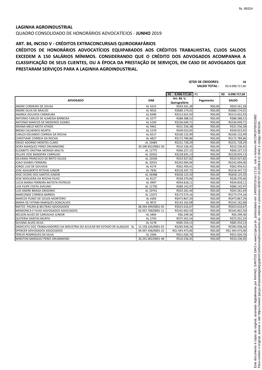QUADRO CONSOLIDADO DE HONORÁRIOS ADVOCATÍCIOS - **JUNHO** 2019

# **ART. 84, INCISO V - CRÉDITOS EXTRACONCURSAIS QUIROGRAFÁRIOS**

**CRÉDITOS DE HONORÁRIOS ADVOCATÍCIOS EQUIPARADOS AOS CRÉDITOS TRABALHISTAS, CUJOS SALDOS EXCEDEM A 150 SALÁRIOS MÍNIMOS. CONSIDERANDO QUE O CRÉDITO DOS ADVOGADOS ACOMPANHA A CLASSIFICAÇÃO DE SEUS CLIENTES, OU A ÉPOCA DA PRESTAÇÃO DE SERVIÇOS, EM CASO DE ADVOGADOS QUE PRESTARAM SERVIÇOS PARA A LAGINHA AGROINDUSTRIAL.**

|                                                                            |                    |                              | <b>QTDE DE CREDORES:</b> | 34                  |
|----------------------------------------------------------------------------|--------------------|------------------------------|--------------------------|---------------------|
|                                                                            |                    |                              | <b>SALDO TOTAL:</b>      | R\$ 8.098.717,60    |
|                                                                            |                    |                              |                          |                     |
|                                                                            |                    | 8.098.717,60 R\$<br>R\$      | $\mathbf{r}$             | R\$<br>8.098.717,60 |
| <b>ADVOGADO</b>                                                            | <b>OAB</b>         | Art. 84, V,<br>Quirografário | Pagamento                | <b>SALDO</b>        |
| ANDRE CORDEIRO DE SOUSA                                                    | AL 4315            | R\$43.561,28                 | R\$0,00                  | R\$43.561,28        |
| ANDRE SILVA DE ARAUJO                                                      | AL 9016            | R\$680.174,01                | R\$0,00                  | R\$680.174,01       |
| ANDREA GOUVEIA CARNAUBA                                                    | AL 8396            | R\$313.652,93                | R\$0,00                  | R\$313.652,93       |
| ANTONIO CARLOS DE ALMEIDA BARBOSA                                          | AL 3277            | R\$88.388,52                 | R\$0,00                  | R\$88.388,52        |
| ANTONIO MARCOS DE MEDEIROS GOMES                                           | AL 5250            | R\$236.049,71                | R\$0,00                  | R\$236.049,71       |
| ARIANA MELO MOTA ATAIDE                                                    | AL 9461            | R\$31.556,38                 | R\$0,00                  | R\$31.556,38        |
| <b>BRENO CALHEIROS MURTA</b>                                               | AL 1570            | R\$49.023,95                 | R\$0,00                  | R\$49.023,95        |
| CARLOS EDUARDO CORREIA DA ROCHA                                            | AL 6517            | R\$100.132,99                | R\$0,00                  | R\$100.132,99       |
| CHRISTIANE CORREIA DA ROCHA                                                | AL 4827            | R\$172.789,86                | R\$0,00                  | R\$172.789,86       |
| DIEGO ADORNO MONTES CLARO                                                  | AL 10483           | R\$231.728,29                | R\$0,00                  | R\$231.728,29       |
| DORA MARQUEZ PEREZ DRUMMOND                                                | 30.290.832/0001-50 | R\$10.236,45                 | R\$0,00                  | R\$10.236,45        |
| ELIZABETE CRISTINA MORAES MALTA                                            | AL 11775           | R\$66.227,15                 | R\$0,00                  | R\$66.227,15        |
| FELLIPE JOSE BANDEIRA CARRILHO                                             | AL 10332           | R\$228.835,13                | R\$0,00                  | R\$228.835,13       |
| GILVANIA FRANCISCO DE BRITO SOUZA                                          | AL 10336           | R\$33.927,82                 | R\$0,00                  | R\$33.927,82        |
| <b>JOAO SOARES FERREIRA</b>                                                | AL 10531           | R\$242.004,06                | R\$0,00                  | R\$242.004,06       |
| JORGE LUIZ DE GOUVEIA                                                      | AL 4174            | R\$62.450,41                 | R\$0,00                  | R\$62.450,41        |
| JOSE ADALBERTO PETEAN JUNIOR                                               | AL 7830            | R\$318.347,72                | R\$0,00                  | R\$318.347,72       |
| JOSE CICERO DOS SANTOS JUNIOR                                              | AL 5648B           | R\$658.125,50                | R\$0,00                  | R\$658.125,50       |
| JOSE NOGUEIRA DA ROCHA FILHO                                               | AL 8127            | R\$28.370,66                 | R\$0,00                  | R\$28.370,66        |
| LUCIA MARIA FERREIRA BATISTA PATRICIO                                      | AL 4997            | R\$44.818,11                 | R\$0,00                  | R\$44.818,11        |
| LUIS FILIPE COSTA AVELINO                                                  | AL 11750           | R\$80.142,97                 | R\$0,00                  | R\$80.142,97        |
| LUIZ ANDRE BRAGA GRIGORIO                                                  | AL 10741           | R\$43.261,44                 | R\$0,00                  | R\$43.261,44        |
| <b>MARCONDE CORREIA BARROS</b>                                             | AL 11672           | R\$173.574,16                | R\$0,00                  | R\$173.574,16       |
| MARCOS PLINIO DE SOUZA MONTEIRO                                            | AL 4383            | R\$473.867,29                | R\$0,00                  | R\$473.867,29       |
| MARIA DE FATIMA MARQUES GONCALVES                                          | AL 9072            | R\$142.162,08                | R\$0,00                  | R\$142.162,08       |
| MATOS PAURA & BELTRAO ADVOGADOS                                            | 08.394.599/0001-05 | R\$923.616,67                | R\$0,00                  | R\$923.616,67       |
| MENDONCA E FILHO ADVOGADOS ASSOCIADOS                                      | 02.937.768/0001-11 | R\$165.662,50                | R\$0,00                  | R\$165.662,50       |
| NELSON ALVES DE CARVALHO JUNIOR                                            | AL 3464            | R\$6.299,36                  | R\$0,00                  | R\$6.299,36         |
| <b>QUITERIA DANTAS MURTA</b>                                               | AL 2743            | R\$75.501,54                 | R\$0,00                  | R\$75.501,54        |
| SILVANA ALVES SILVA                                                        | AL 4178            | R\$85.554,13                 | R\$0,00                  | R\$85.554,13        |
| SINDICATO DOS TRABALHADORES DA INDUSTRIA DO ACUCAR NO ESTADO DE ALAGOAS AL | 12.158.226/0001-02 | R\$283.938,26                | R\$0,00                  | R\$283.938,26       |
| SPENCER ADVOGADOS ASSOCIADOS                                               | 04.507.436/0001-22 | R\$1.943.473,06              | R\$0,00                  | R\$1.943.473,06     |
| TERCIO RODRIGUES DA SILVA                                                  | AL 2566            | R\$51.026,76                 | R\$0,00                  | R\$51.026,76        |
| <b>I</b> WINSTON MARQUEZ PEREZ DRUMMOND                                    | 30.291.002/0001-48 | R\$10.236.45                 | R\$0.00                  | R\$10.236,45        |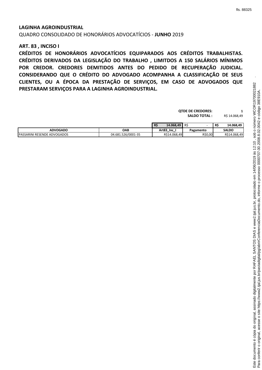#### **LAGINHA AGROINDUSTRIAL**

QUADRO CONSOLIDADO DE HONORÁRIOS ADVOCATÍCIOS - **JUNHO** 2019

## **ART. 83 , INCISO I**

**CRÉDITOS DE HONORÁRIOS ADVOCATÍCIOS EQUIPARADOS AOS CRÉDITOS TRABALHISTAS. CRÉDITOS DERIVADOS DA LEGISLAÇÃO DO TRABALHO , LIMITDOS A 150 SALÁRIOS MÍNIMOS POR CREDOR. CREDORES DEMITIDOS ANTES DO PEDIDO DE RECUPERAÇÃO JUDICIAL. CONSIDERANDO QUE O CRÉDITO DO ADVOGADO ACOMPANHA A CLASSIFICAÇÃO DE SEUS CLIENTES, OU A ÉPOCA DA PRESTAÇÃO DE SERVIÇOS, EM CASO DE ADVOGADOS QUE PRESTARAM SERVIÇOS PARA A LAGINHA AGROINDUSTRIAL.**

|                                    |                    | <b>QTDE DE CREDORES:</b><br><b>SALDO TOTAL :</b> |           |                        |
|------------------------------------|--------------------|--------------------------------------------------|-----------|------------------------|
|                                    |                    | R\$<br>14.068,49                                 | -R\$      | 14.068,49<br><b>RS</b> |
| <b>ADVOGADO</b>                    | <b>OAB</b>         | Art83_Inc_I                                      | Pagamento | <b>SALDO</b>           |
| <b>PASSARINI RESENDE ADVOGADOS</b> | 04.681.526/0001-35 | R\$14.068,49                                     | R\$0,00   | R\$14.068,49           |